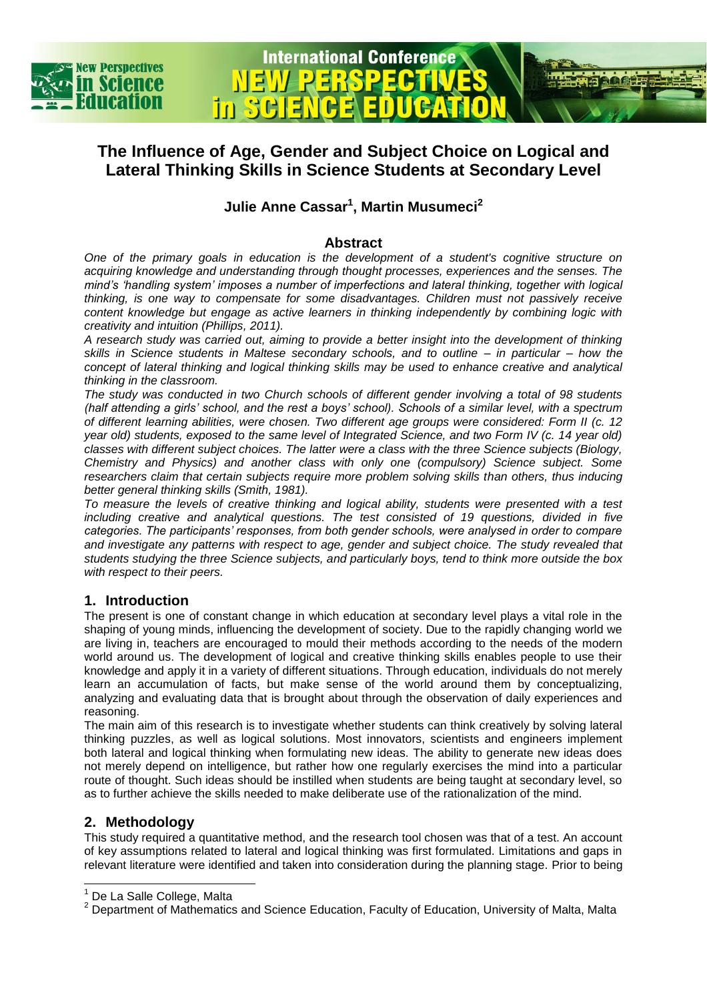

In.

## **The Influence of Age, Gender and Subject Choice on Logical and Lateral Thinking Skills in Science Students at Secondary Level**

**International Conference** 

## **Julie Anne Cassar<sup>1</sup> , Martin Musumeci<sup>2</sup>**

#### **Abstract**

*One of the primary goals in education is the development of a student's cognitive structure on acquiring knowledge and understanding through thought processes, experiences and the senses. The mind's 'handling system' imposes a number of imperfections and lateral thinking, together with logical thinking, is one way to compensate for some disadvantages. Children must not passively receive content knowledge but engage as active learners in thinking independently by combining logic with creativity and intuition (Phillips, 2011).*

*A research study was carried out, aiming to provide a better insight into the development of thinking skills in Science students in Maltese secondary schools, and to outline – in particular – how the concept of lateral thinking and logical thinking skills may be used to enhance creative and analytical thinking in the classroom.* 

*The study was conducted in two Church schools of different gender involving a total of 98 students (half attending a girls' school, and the rest a boys' school). Schools of a similar level, with a spectrum of different learning abilities, were chosen. Two different age groups were considered: Form II (c. 12 year old) students, exposed to the same level of Integrated Science, and two Form IV (c. 14 year old) classes with different subject choices. The latter were a class with the three Science subjects (Biology, Chemistry and Physics) and another class with only one (compulsory) Science subject. Some*  researchers claim that certain subjects require more problem solving skills than others, thus inducing *better general thinking skills (Smith, 1981).* 

*To measure the levels of creative thinking and logical ability, students were presented with a test including creative and analytical questions. The test consisted of 19 questions, divided in five categories. The participants' responses, from both gender schools, were analysed in order to compare and investigate any patterns with respect to age, gender and subject choice. The study revealed that students studying the three Science subjects, and particularly boys, tend to think more outside the box with respect to their peers.*

#### **1. Introduction**

The present is one of constant change in which education at secondary level plays a vital role in the shaping of young minds, influencing the development of society. Due to the rapidly changing world we are living in, teachers are encouraged to mould their methods according to the needs of the modern world around us. The development of logical and creative thinking skills enables people to use their knowledge and apply it in a variety of different situations. Through education, individuals do not merely learn an accumulation of facts, but make sense of the world around them by conceptualizing, analyzing and evaluating data that is brought about through the observation of daily experiences and reasoning.

The main aim of this research is to investigate whether students can think creatively by solving lateral thinking puzzles, as well as logical solutions. Most innovators, scientists and engineers implement both lateral and logical thinking when formulating new ideas. The ability to generate new ideas does not merely depend on intelligence, but rather how one regularly exercises the mind into a particular route of thought. Such ideas should be instilled when students are being taught at secondary level, so as to further achieve the skills needed to make deliberate use of the rationalization of the mind.

### **2. Methodology**

l

This study required a quantitative method, and the research tool chosen was that of a test. An account of key assumptions related to lateral and logical thinking was first formulated. Limitations and gaps in relevant literature were identified and taken into consideration during the planning stage. Prior to being

<sup>&</sup>lt;sup>1</sup> De La Salle College, Malta

<sup>&</sup>lt;sup>2</sup> Department of Mathematics and Science Education, Faculty of Education, University of Malta, Malta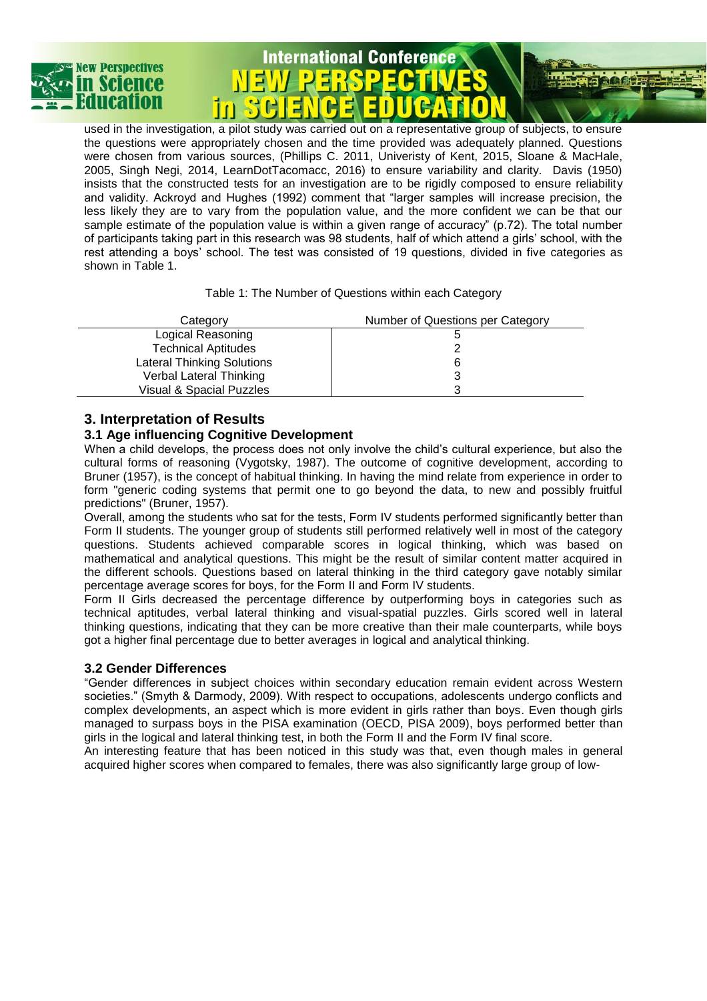

# **International Conference** ĪĤ.



Table 1: The Number of Questions within each Category

| Category                          | Number of Questions per Category |
|-----------------------------------|----------------------------------|
| Logical Reasoning                 |                                  |
| <b>Technical Aptitudes</b>        |                                  |
| <b>Lateral Thinking Solutions</b> |                                  |
| Verbal Lateral Thinking           |                                  |
| Visual & Spacial Puzzles          |                                  |

### **3. Interpretation of Results**

#### **3.1 Age influencing Cognitive Development**

When a child develops, the process does not only involve the child's cultural experience, but also the cultural forms of reasoning (Vygotsky, 1987). The outcome of cognitive development, according to Bruner (1957), is the concept of habitual thinking. In having the mind relate from experience in order to form "generic coding systems that permit one to go beyond the data, to new and possibly fruitful predictions" (Bruner, 1957).

Overall, among the students who sat for the tests, Form IV students performed significantly better than Form II students. The younger group of students still performed relatively well in most of the category questions. Students achieved comparable scores in logical thinking, which was based on mathematical and analytical questions. This might be the result of similar content matter acquired in the different schools. Questions based on lateral thinking in the third category gave notably similar percentage average scores for boys, for the Form II and Form IV students.

Form II Girls decreased the percentage difference by outperforming boys in categories such as technical aptitudes, verbal lateral thinking and visual-spatial puzzles. Girls scored well in lateral thinking questions, indicating that they can be more creative than their male counterparts, while boys got a higher final percentage due to better averages in logical and analytical thinking.

#### **3.2 Gender Differences**

"Gender differences in subject choices within secondary education remain evident across Western societies." (Smyth & Darmody, 2009). With respect to occupations, adolescents undergo conflicts and complex developments, an aspect which is more evident in girls rather than boys. Even though girls managed to surpass boys in the PISA examination (OECD, PISA 2009), boys performed better than girls in the logical and lateral thinking test, in both the Form II and the Form IV final score.

An interesting feature that has been noticed in this study was that, even though males in general acquired higher scores when compared to females, there was also significantly large group of low-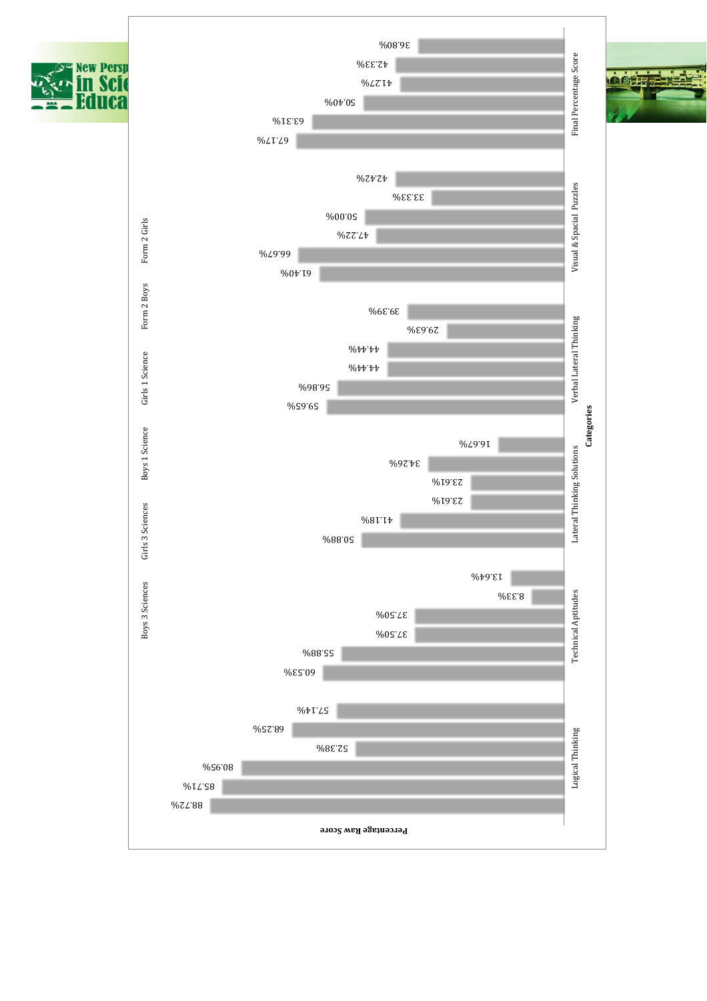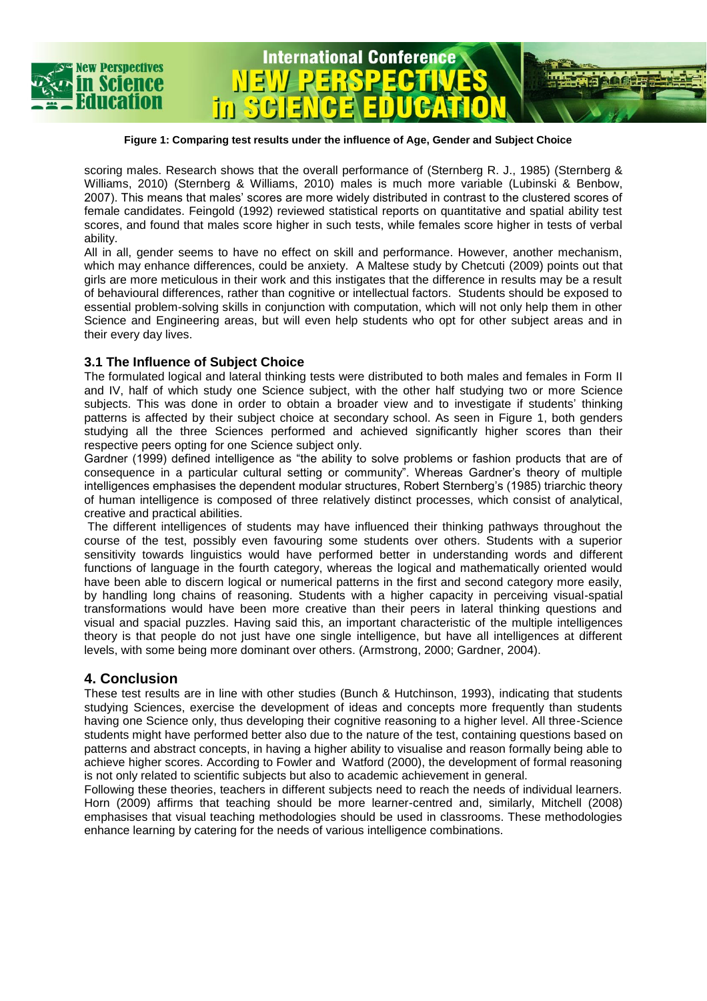

#### <span id="page-3-0"></span>**Figure 1: Comparing test results under the influence of Age, Gender and Subject Choice**

**International Conference** 

scoring males. Research shows that the overall performance of (Sternberg R. J., 1985) (Sternberg & Williams, 2010) (Sternberg & Williams, 2010) males is much more variable (Lubinski & Benbow, 2007). This means that males' scores are more widely distributed in contrast to the clustered scores of female candidates. Feingold (1992) reviewed statistical reports on quantitative and spatial ability test scores, and found that males score higher in such tests, while females score higher in tests of verbal ability.

All in all, gender seems to have no effect on skill and performance. However, another mechanism, which may enhance differences, could be anxiety. A Maltese study by Chetcuti (2009) points out that girls are more meticulous in their work and this instigates that the difference in results may be a result of behavioural differences, rather than cognitive or intellectual factors. Students should be exposed to essential problem-solving skills in conjunction with computation, which will not only help them in other Science and Engineering areas, but will even help students who opt for other subject areas and in their every day lives.

#### **3.1 The Influence of Subject Choice**

in.

The formulated logical and lateral thinking tests were distributed to both males and females in Form II and IV, half of which study one Science subject, with the other half studying two or more Science subjects. This was done in order to obtain a broader view and to investigate if students' thinking patterns is affected by their subject choice at secondary school. As seen in [Figure 1,](#page-3-0) both genders studying all the three Sciences performed and achieved significantly higher scores than their respective peers opting for one Science subject only.

Gardner (1999) defined intelligence as "the ability to solve problems or fashion products that are of consequence in a particular cultural setting or community". Whereas Gardner's theory of multiple intelligences emphasises the dependent modular structures, Robert Sternberg's (1985) triarchic theory of human intelligence is composed of three relatively distinct processes, which consist of analytical, creative and practical abilities.

The different intelligences of students may have influenced their thinking pathways throughout the course of the test, possibly even favouring some students over others. Students with a superior sensitivity towards linguistics would have performed better in understanding words and different functions of language in the fourth category, whereas the logical and mathematically oriented would have been able to discern logical or numerical patterns in the first and second category more easily, by handling long chains of reasoning. Students with a higher capacity in perceiving visual-spatial transformations would have been more creative than their peers in lateral thinking questions and visual and spacial puzzles. Having said this, an important characteristic of the multiple intelligences theory is that people do not just have one single intelligence, but have all intelligences at different levels, with some being more dominant over others. (Armstrong, 2000; Gardner, 2004).

#### **4. Conclusion**

These test results are in line with other studies (Bunch & Hutchinson, 1993), indicating that students studying Sciences, exercise the development of ideas and concepts more frequently than students having one Science only, thus developing their cognitive reasoning to a higher level. All three-Science students might have performed better also due to the nature of the test, containing questions based on patterns and abstract concepts, in having a higher ability to visualise and reason formally being able to achieve higher scores. According to Fowler and Watford (2000), the development of formal reasoning is not only related to scientific subjects but also to academic achievement in general.

Following these theories, teachers in different subjects need to reach the needs of individual learners. Horn (2009) affirms that teaching should be more learner-centred and, similarly, Mitchell (2008) emphasises that visual teaching methodologies should be used in classrooms. These methodologies enhance learning by catering for the needs of various intelligence combinations.